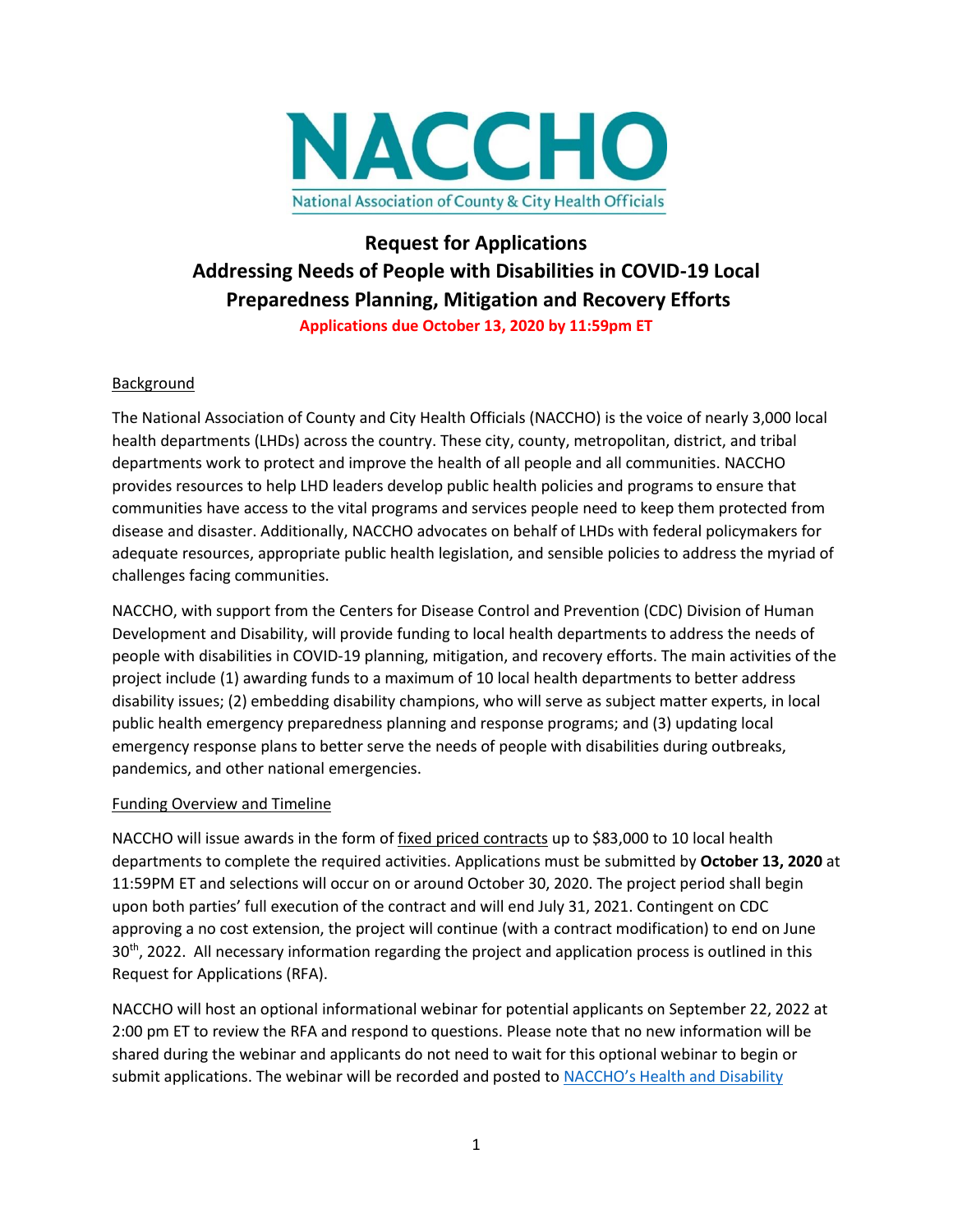

## **Request for Applications Addressing Needs of People with Disabilities in COVID-19 Local Preparedness Planning, Mitigation and Recovery Efforts Applications due October 13, 2020 by 11:59pm ET**

#### Background

The National Association of County and City Health Officials (NACCHO) is the voice of nearly 3,000 local health departments (LHDs) across the country. These city, county, metropolitan, district, and tribal departments work to protect and improve the health of all people and all communities. NACCHO provides resources to help LHD leaders develop public health policies and programs to ensure that communities have access to the vital programs and services people need to keep them protected from disease and disaster. Additionally, NACCHO advocates on behalf of LHDs with federal policymakers for adequate resources, appropriate public health legislation, and sensible policies to address the myriad of challenges facing communities.

NACCHO, with support from the Centers for Disease Control and Prevention (CDC) Division of Human Development and Disability, will provide funding to local health departments to address the needs of people with disabilities in COVID-19 planning, mitigation, and recovery efforts. The main activities of the project include (1) awarding funds to a maximum of 10 local health departments to better address disability issues; (2) embedding disability champions, who will serve as subject matter experts, in local public health emergency preparedness planning and response programs; and (3) updating local emergency response plans to better serve the needs of people with disabilities during outbreaks, pandemics, and other national emergencies.

#### Funding Overview and Timeline

NACCHO will issue awards in the form of fixed priced contracts up to \$83,000 to 10 local health departments to complete the required activities. Applications must be submitted by **October 13, 2020** at 11:59PM ET and selections will occur on or around October 30, 2020. The project period shall begin upon both parties' full execution of the contract and will end July 31, 2021. Contingent on CDC approving a no cost extension, the project will continue (with a contract modification) to end on June 30<sup>th</sup>, 2022. All necessary information regarding the project and application process is outlined in this Request for Applications (RFA).

NACCHO will host an optional informational webinar for potential applicants on September 22, 2022 at 2:00 pm ET to review the RFA and respond to questions. Please note that no new information will be shared during the webinar and applicants do not need to wait for this optional webinar to begin or submit applications. The webinar will be recorded and posted to NACCHO's Health and Disability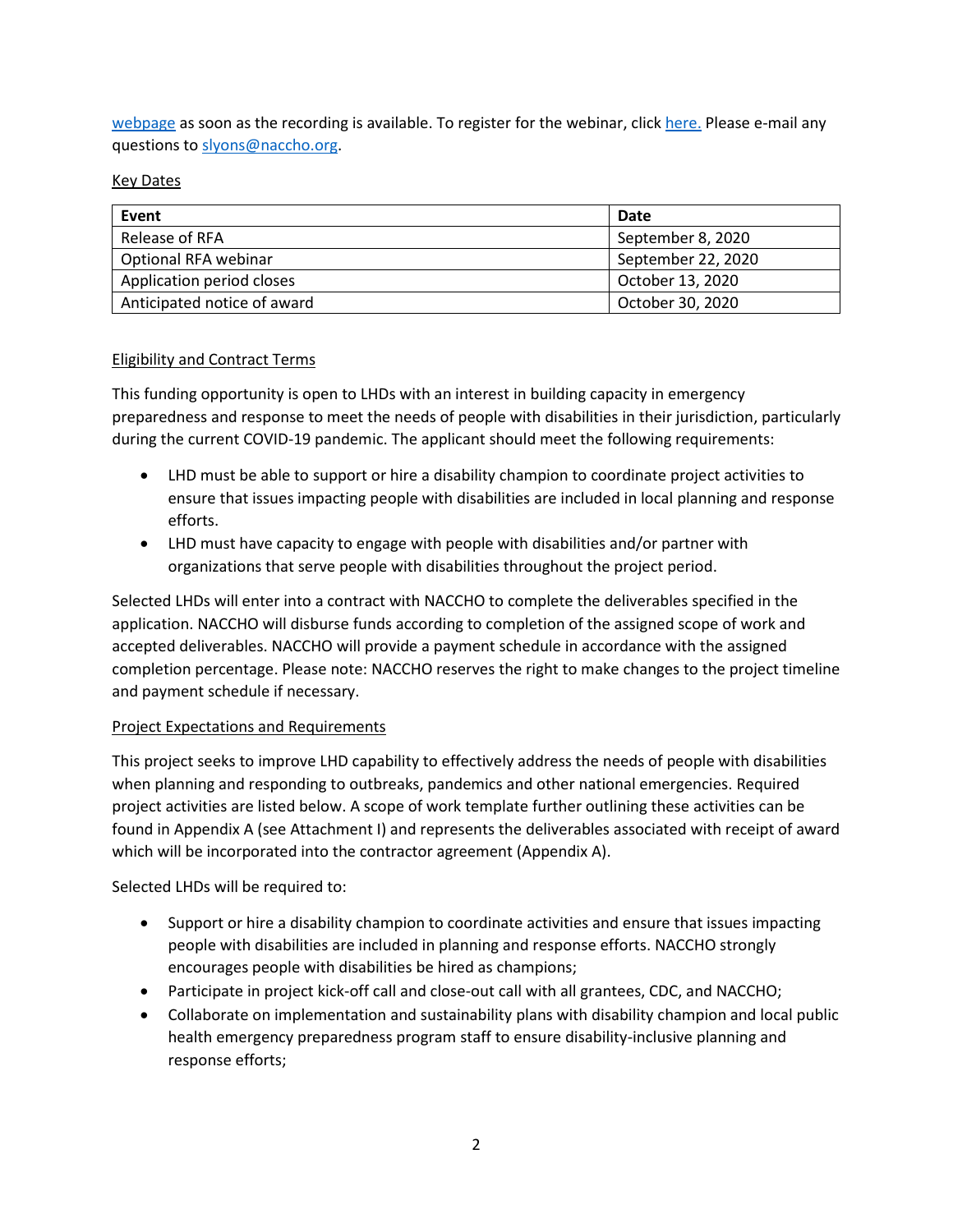[webpage](https://www.naccho.org/programs/community-health/disability) as soon as the recording is available. To register for the webinar, clic[k here.](https://naccho.zoom.us/webinar/register/WN_3KWdTbbGRo62UKLrm5HWnA) Please e-mail any questions to [slyons@naccho.org.](mailto:slyons@naccho.org)

#### Key Dates

| Event                       | Date               |
|-----------------------------|--------------------|
| Release of RFA              | September 8, 2020  |
| Optional RFA webinar        | September 22, 2020 |
| Application period closes   | October 13, 2020   |
| Anticipated notice of award | October 30, 2020   |

#### Eligibility and Contract Terms

This funding opportunity is open to LHDs with an interest in building capacity in emergency preparedness and response to meet the needs of people with disabilities in their jurisdiction, particularly during the current COVID-19 pandemic. The applicant should meet the following requirements:

- LHD must be able to support or hire a disability champion to coordinate project activities to ensure that issues impacting people with disabilities are included in local planning and response efforts.
- LHD must have capacity to engage with people with disabilities and/or partner with organizations that serve people with disabilities throughout the project period.

Selected LHDs will enter into a contract with NACCHO to complete the deliverables specified in the application. NACCHO will disburse funds according to completion of the assigned scope of work and accepted deliverables. NACCHO will provide a payment schedule in accordance with the assigned completion percentage. Please note: NACCHO reserves the right to make changes to the project timeline and payment schedule if necessary.

#### Project Expectations and Requirements

This project seeks to improve LHD capability to effectively address the needs of people with disabilities when planning and responding to outbreaks, pandemics and other national emergencies. Required project activities are listed below. A scope of work template further outlining these activities can be found in Appendix A (see Attachment I) and represents the deliverables associated with receipt of award which will be incorporated into the contractor agreement (Appendix A).

Selected LHDs will be required to:

- Support or hire a disability champion to coordinate activities and ensure that issues impacting people with disabilities are included in planning and response efforts. NACCHO strongly encourages people with disabilities be hired as champions;
- Participate in project kick-off call and close-out call with all grantees, CDC, and NACCHO;
- Collaborate on implementation and sustainability plans with disability champion and local public health emergency preparedness program staff to ensure disability-inclusive planning and response efforts;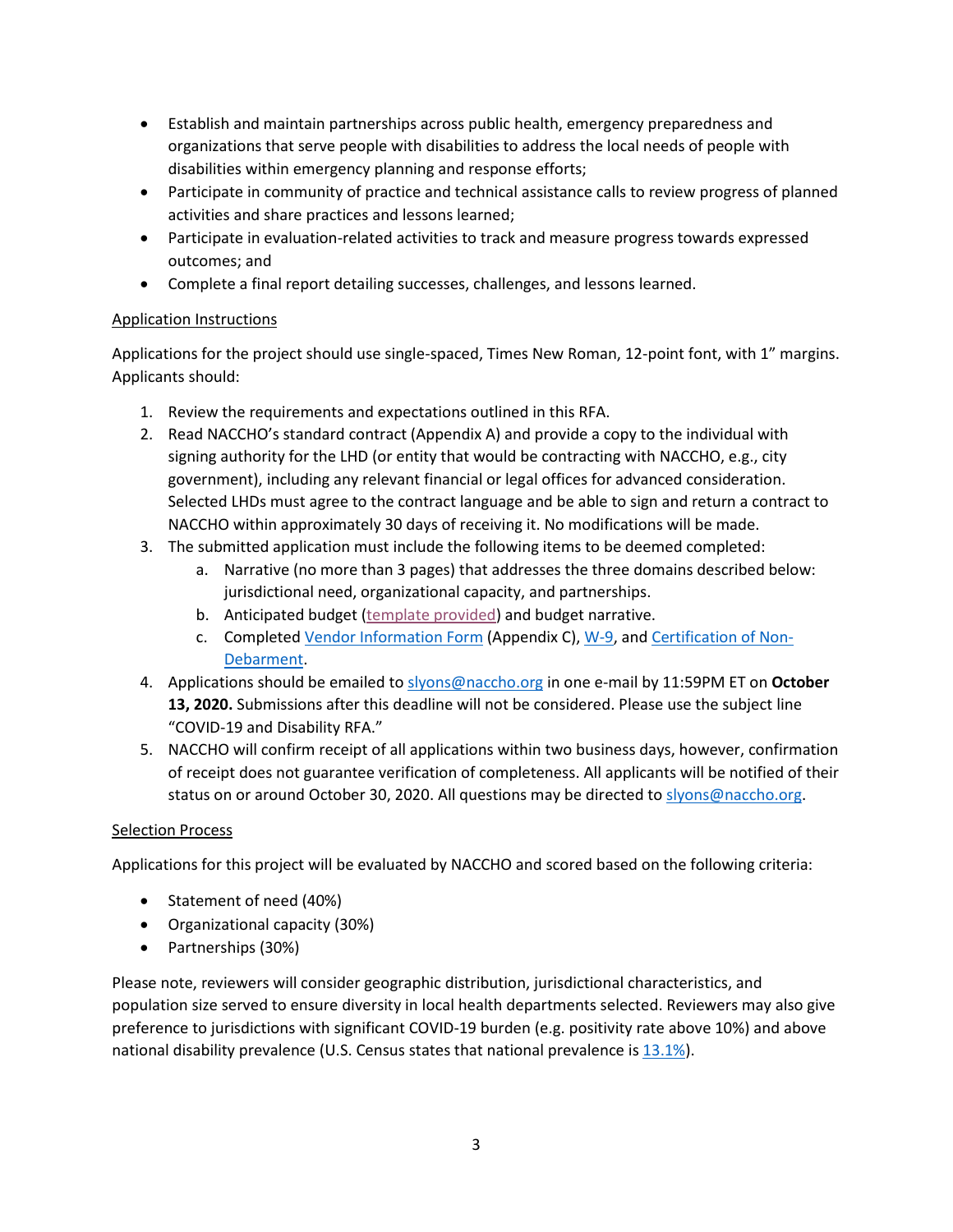- Establish and maintain partnerships across public health, emergency preparedness and organizations that serve people with disabilities to address the local needs of people with disabilities within emergency planning and response efforts;
- Participate in community of practice and technical assistance calls to review progress of planned activities and share practices and lessons learned;
- Participate in evaluation-related activities to track and measure progress towards expressed outcomes; and
- Complete a final report detailing successes, challenges, and lessons learned.

#### Application Instructions

Applications for the project should use single-spaced, Times New Roman, 12-point font, with 1" margins. Applicants should:

- 1. Review the requirements and expectations outlined in this RFA.
- 2. Read NACCHO's standard contract (Appendix A) and provide a copy to the individual with signing authority for the LHD (or entity that would be contracting with NACCHO, e.g., city government), including any relevant financial or legal offices for advanced consideration. Selected LHDs must agree to the contract language and be able to sign and return a contract to NACCHO within approximately 30 days of receiving it. No modifications will be made.
- 3. The submitted application must include the following items to be deemed completed:
	- a. Narrative (no more than 3 pages) that addresses the three domains described below: jurisdictional need, organizational capacity, and partnerships.
	- b. Anticipated budget [\(template provided\)](https://www.naccho.org/uploads/full-width-images/Budget-Template-and-Instructions.xlsx) and budget narrative.
	- c. Complete[d Vendor Information Form](https://www.naccho.org/uploads/downloadable-resources/Vendor-Form.pdf) (Appendix C)[, W-9,](https://www.naccho.org/uploads/downloadable-resources/W-9-Blank.pdf) an[d Certification of Non-](https://www.naccho.org/uploads/downloadable-resources/Certification-of-Non-Debarment.pdf)[Debarment.](https://www.naccho.org/uploads/downloadable-resources/Certification-of-Non-Debarment.pdf)
- 4. Applications should be emailed to [slyons@naccho.org](mailto:slyons@naccho.org) in one e-mail by 11:59PM ET on **October 13, 2020.** Submissions after this deadline will not be considered. Please use the subject line "COVID-19 and Disability RFA."
- 5. NACCHO will confirm receipt of all applications within two business days, however, confirmation of receipt does not guarantee verification of completeness. All applicants will be notified of their status on or around October 30, 2020. All questions may be directed to [slyons@naccho.org.](mailto:slyons@naccho.org)

#### Selection Process

Applications for this project will be evaluated by NACCHO and scored based on the following criteria:

- Statement of need (40%)
- Organizational capacity (30%)
- Partnerships (30%)

Please note, reviewers will consider geographic distribution, jurisdictional characteristics, and population size served to ensure diversity in local health departments selected. Reviewers may also give preference to jurisdictions with significant COVID-19 burden (e.g. positivity rate above 10%) and above national disability prevalence (U.S. Census states that national prevalence is  $13.1\%$ ).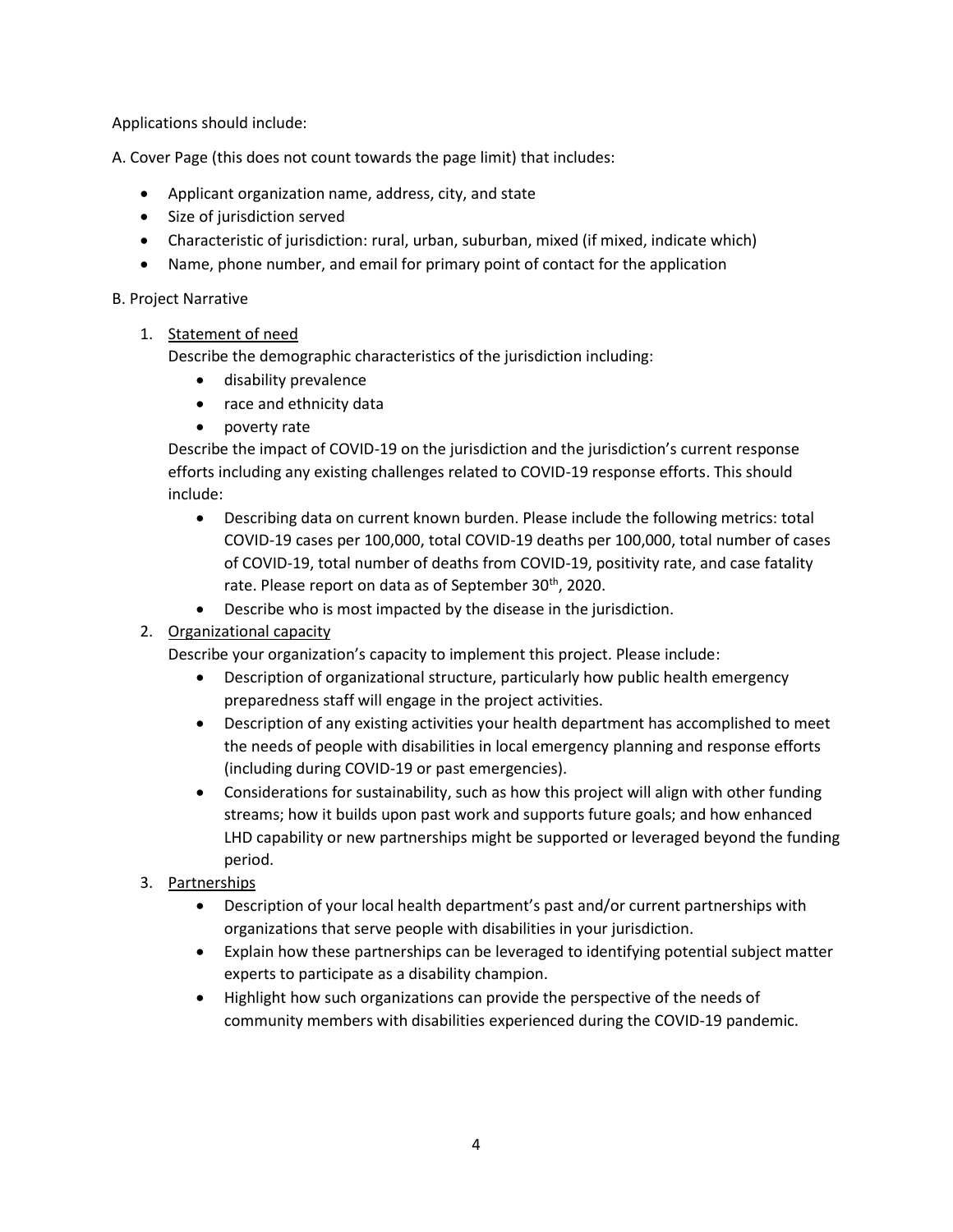Applications should include:

A. Cover Page (this does not count towards the page limit) that includes:

- Applicant organization name, address, city, and state
- Size of jurisdiction served
- Characteristic of jurisdiction: rural, urban, suburban, mixed (if mixed, indicate which)
- Name, phone number, and email for primary point of contact for the application

#### B. Project Narrative

#### 1. Statement of need

Describe the demographic characteristics of the jurisdiction including:

- disability prevalence
- race and ethnicity data
- poverty rate

Describe the impact of COVID-19 on the jurisdiction and the jurisdiction's current response efforts including any existing challenges related to COVID-19 response efforts. This should include:

- Describing data on current known burden. Please include the following metrics: total COVID-19 cases per 100,000, total COVID-19 deaths per 100,000, total number of cases of COVID-19, total number of deaths from COVID-19, positivity rate, and case fatality rate. Please report on data as of September 30<sup>th</sup>, 2020.
- Describe who is most impacted by the disease in the jurisdiction.
- 2. Organizational capacity

Describe your organization's capacity to implement this project. Please include:

- Description of organizational structure, particularly how public health emergency preparedness staff will engage in the project activities.
- Description of any existing activities your health department has accomplished to meet the needs of people with disabilities in local emergency planning and response efforts (including during COVID-19 or past emergencies).
- Considerations for sustainability, such as how this project will align with other funding streams; how it builds upon past work and supports future goals; and how enhanced LHD capability or new partnerships might be supported or leveraged beyond the funding period.
- 3. Partnerships
	- Description of your local health department's past and/or current partnerships with organizations that serve people with disabilities in your jurisdiction.
	- Explain how these partnerships can be leveraged to identifying potential subject matter experts to participate as a disability champion.
	- Highlight how such organizations can provide the perspective of the needs of community members with disabilities experienced during the COVID-19 pandemic.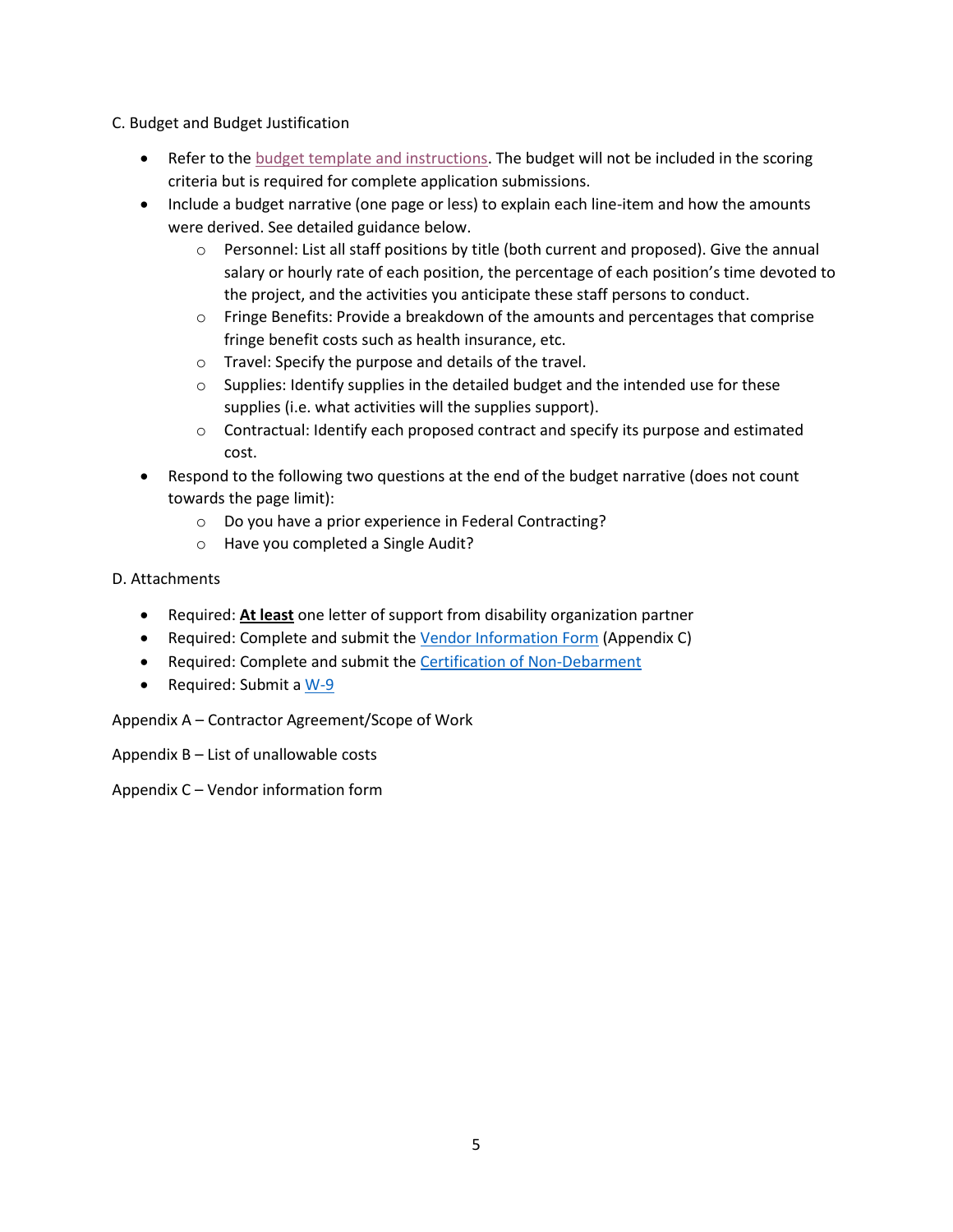#### C. Budget and Budget Justification

- Refer to the [budget template and instructions.](https://www.naccho.org/uploads/full-width-images/Budget-Template-and-Instructions.xlsx) The budget will not be included in the scoring criteria but is required for complete application submissions.
- Include a budget narrative (one page or less) to explain each line-item and how the amounts were derived. See detailed guidance below.
	- $\circ$  Personnel: List all staff positions by title (both current and proposed). Give the annual salary or hourly rate of each position, the percentage of each position's time devoted to the project, and the activities you anticipate these staff persons to conduct.
	- $\circ$  Fringe Benefits: Provide a breakdown of the amounts and percentages that comprise fringe benefit costs such as health insurance, etc.
	- o Travel: Specify the purpose and details of the travel.
	- o Supplies: Identify supplies in the detailed budget and the intended use for these supplies (i.e. what activities will the supplies support).
	- $\circ$  Contractual: Identify each proposed contract and specify its purpose and estimated cost.
- Respond to the following two questions at the end of the budget narrative (does not count towards the page limit):
	- o Do you have a prior experience in Federal Contracting?
	- o Have you completed a Single Audit?
- D. Attachments
	- Required: **At least** one letter of support from disability organization partner
	- Required: Complete and submit the [Vendor Information Form](https://www.naccho.org/uploads/downloadable-resources/Vendor-Form.pdf) (Appendix C)
	- Required: Complete and submit the [Certification of Non-Debarment](https://www.naccho.org/uploads/downloadable-resources/Certification-of-Non-Debarment.pdf)
	- Required: Submit a [W-9](https://www.naccho.org/uploads/downloadable-resources/W-9-Blank.pdf)

Appendix A – Contractor Agreement/Scope of Work

Appendix B – List of unallowable costs

Appendix C – Vendor information form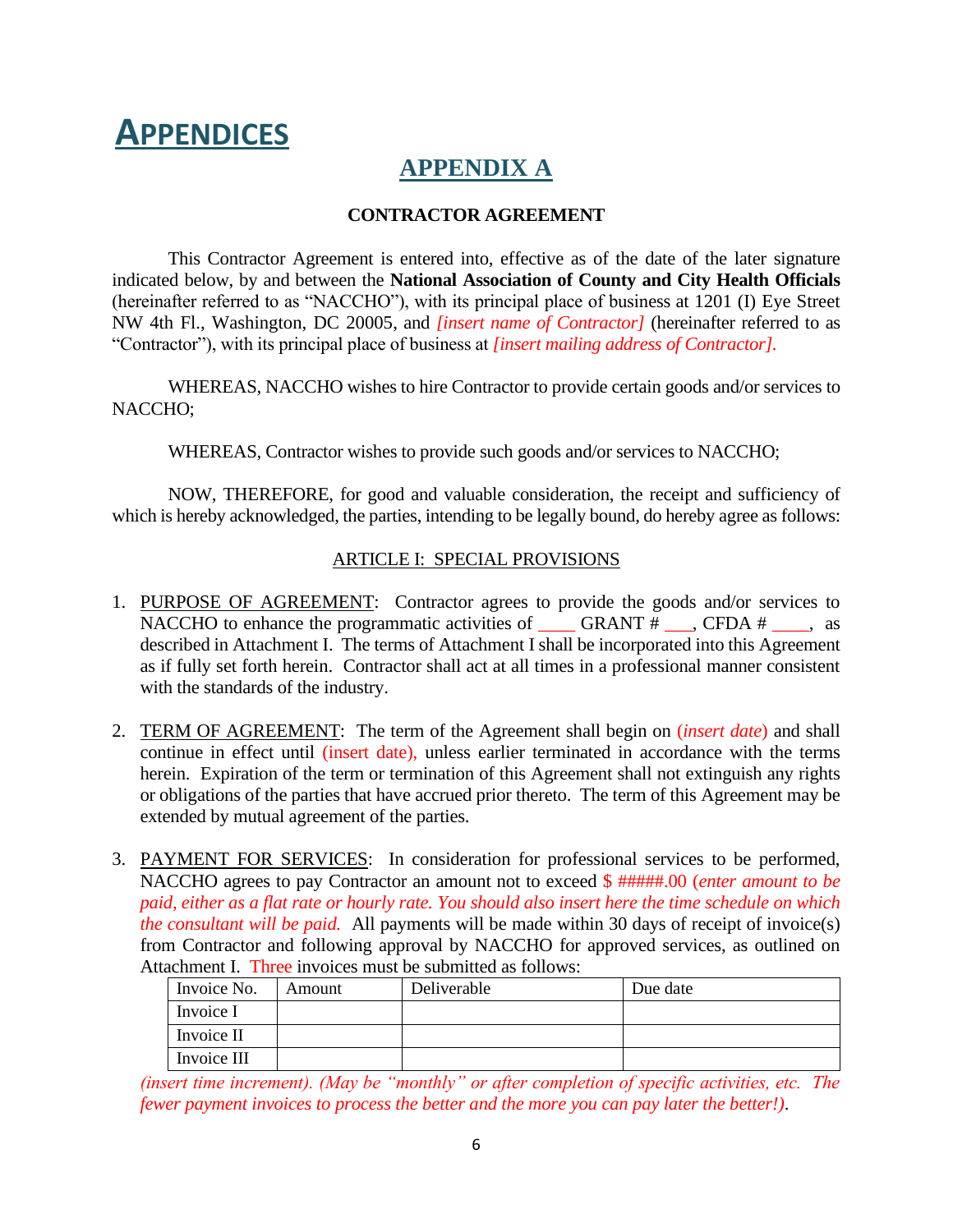# **APPENDICES**

## **APPENDIX A**

#### **CONTRACTOR AGREEMENT**

This Contractor Agreement is entered into, effective as of the date of the later signature indicated below, by and between the **National Association of County and City Health Officials** (hereinafter referred to as "NACCHO"), with its principal place of business at 1201 (I) Eye Street NW 4th Fl., Washington, DC 20005, and *[insert name of Contractor]* (hereinafter referred to as "Contractor"), with its principal place of business at *[insert mailing address of Contractor].*

WHEREAS, NACCHO wishes to hire Contractor to provide certain goods and/or services to NACCHO;

WHEREAS, Contractor wishes to provide such goods and/or services to NACCHO;

NOW, THEREFORE, for good and valuable consideration, the receipt and sufficiency of which is hereby acknowledged, the parties, intending to be legally bound, do hereby agree as follows:

#### ARTICLE I: SPECIAL PROVISIONS

- 1. PURPOSE OF AGREEMENT: Contractor agrees to provide the goods and/or services to NACCHO to enhance the programmatic activities of  $\Box$  GRANT  $\# \Box$ , CFDA  $\# \Box$ , as described in Attachment I. The terms of Attachment I shall be incorporated into this Agreement as if fully set forth herein. Contractor shall act at all times in a professional manner consistent with the standards of the industry.
- 2. TERM OF AGREEMENT: The term of the Agreement shall begin on (*insert date*) and shall continue in effect until (insert date), unless earlier terminated in accordance with the terms herein. Expiration of the term or termination of this Agreement shall not extinguish any rights or obligations of the parties that have accrued prior thereto. The term of this Agreement may be extended by mutual agreement of the parties.
- 3. PAYMENT FOR SERVICES: In consideration for professional services to be performed, NACCHO agrees to pay Contractor an amount not to exceed \$ #####.00 (*enter amount to be paid, either as a flat rate or hourly rate. You should also insert here the time schedule on which the consultant will be paid.* All payments will be made within 30 days of receipt of invoice(s) from Contractor and following approval by NACCHO for approved services, as outlined on Attachment I. Three invoices must be submitted as follows:

| Invoice No. | Amount | Deliverable | Due date |
|-------------|--------|-------------|----------|
| Invoice I   |        |             |          |
| Invoice II  |        |             |          |
| Invoice III |        |             |          |

*(insert time increment). (May be "monthly" or after completion of specific activities, etc. The fewer payment invoices to process the better and the more you can pay later the better!)*.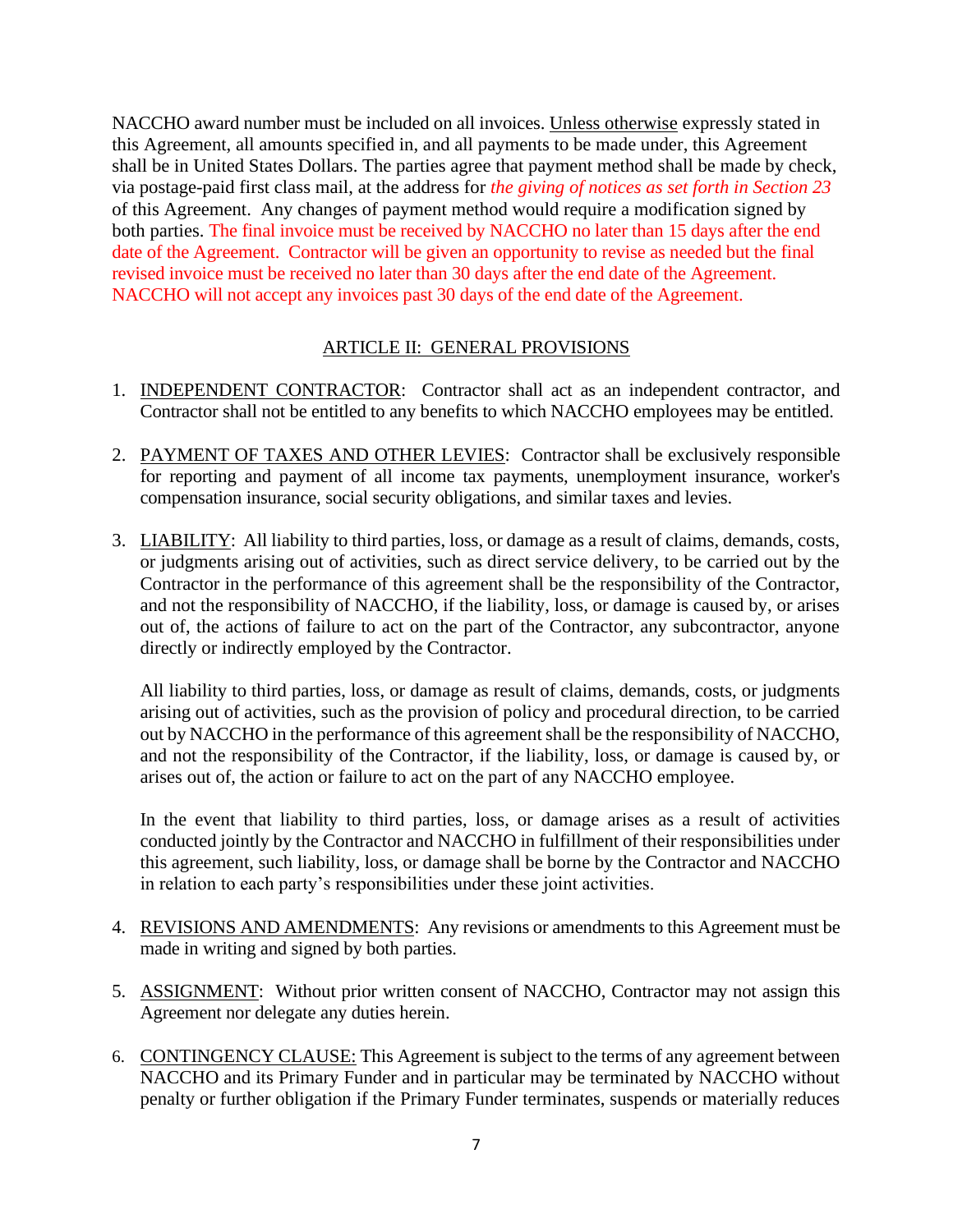NACCHO award number must be included on all invoices. [Unless otherwise](https://www.lawinsider.com/clause/payment-method) expressly stated in this Agreement, all amounts specified in, and all payments to be made under, this Agreement shall be in United States Dollars. The parties agree that payment method shall be made by check, via postage-paid first class mail, [at the](https://www.lawinsider.com/clause/payment-method) address for *the giving of notices as set forth in Section 23* of this Agreement. Any changes of payment method would require a modification signed by both parties. The final invoice must be received by NACCHO no later than 15 days after the end date of the Agreement. Contractor will be given an opportunity to revise as needed but the final revised invoice must be received no later than 30 days after the end date of the Agreement. NACCHO will not accept any invoices past 30 days of the end date of the Agreement.

#### ARTICLE II: GENERAL PROVISIONS

- 1. INDEPENDENT CONTRACTOR: Contractor shall act as an independent contractor, and Contractor shall not be entitled to any benefits to which NACCHO employees may be entitled.
- 2. PAYMENT OF TAXES AND OTHER LEVIES: Contractor shall be exclusively responsible for reporting and payment of all income tax payments, unemployment insurance, worker's compensation insurance, social security obligations, and similar taxes and levies.
- 3. LIABILITY: All liability to third parties, loss, or damage as a result of claims, demands, costs, or judgments arising out of activities, such as direct service delivery, to be carried out by the Contractor in the performance of this agreement shall be the responsibility of the Contractor, and not the responsibility of NACCHO, if the liability, loss, or damage is caused by, or arises out of, the actions of failure to act on the part of the Contractor, any subcontractor, anyone directly or indirectly employed by the Contractor.

All liability to third parties, loss, or damage as result of claims, demands, costs, or judgments arising out of activities, such as the provision of policy and procedural direction, to be carried out by NACCHO in the performance of this agreement shall be the responsibility of NACCHO, and not the responsibility of the Contractor, if the liability, loss, or damage is caused by, or arises out of, the action or failure to act on the part of any NACCHO employee.

In the event that liability to third parties, loss, or damage arises as a result of activities conducted jointly by the Contractor and NACCHO in fulfillment of their responsibilities under this agreement, such liability, loss, or damage shall be borne by the Contractor and NACCHO in relation to each party's responsibilities under these joint activities.

- 4. REVISIONS AND AMENDMENTS: Any revisions or amendments to this Agreement must be made in writing and signed by both parties.
- 5. ASSIGNMENT: Without prior written consent of NACCHO, Contractor may not assign this Agreement nor delegate any duties herein.
- 6. CONTINGENCY CLAUSE: This Agreement is subject to the terms of any agreement between NACCHO and its Primary Funder and in particular may be terminated by NACCHO without penalty or further obligation if the Primary Funder terminates, suspends or materially reduces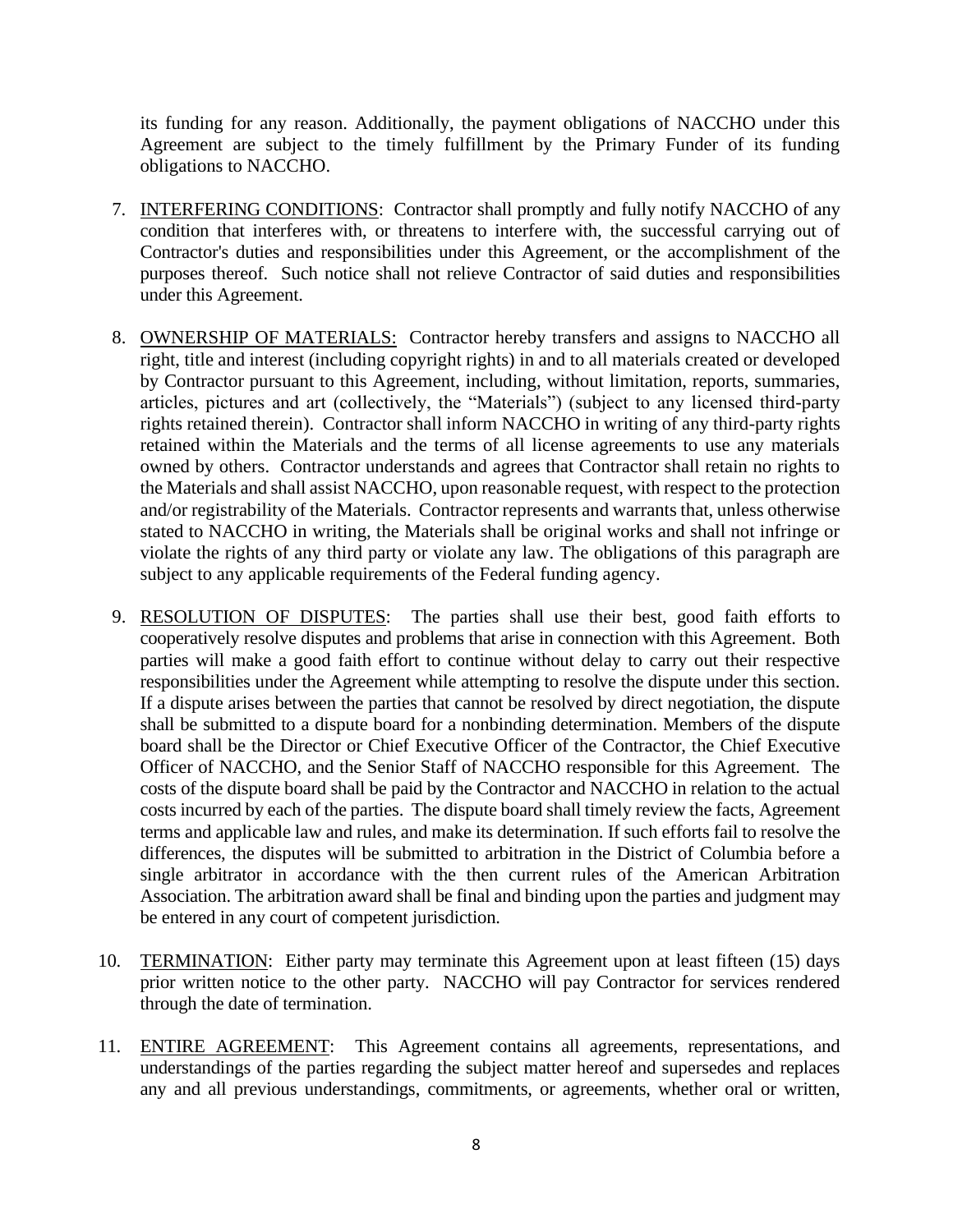its funding for any reason. Additionally, the payment obligations of NACCHO under this Agreement are subject to the timely fulfillment by the Primary Funder of its funding obligations to NACCHO.

- 7. INTERFERING CONDITIONS: Contractor shall promptly and fully notify NACCHO of any condition that interferes with, or threatens to interfere with, the successful carrying out of Contractor's duties and responsibilities under this Agreement, or the accomplishment of the purposes thereof. Such notice shall not relieve Contractor of said duties and responsibilities under this Agreement.
- 8. OWNERSHIP OF MATERIALS: Contractor hereby transfers and assigns to NACCHO all right, title and interest (including copyright rights) in and to all materials created or developed by Contractor pursuant to this Agreement, including, without limitation, reports, summaries, articles, pictures and art (collectively, the "Materials") (subject to any licensed third-party rights retained therein). Contractor shall inform NACCHO in writing of any third-party rights retained within the Materials and the terms of all license agreements to use any materials owned by others. Contractor understands and agrees that Contractor shall retain no rights to the Materials and shall assist NACCHO, upon reasonable request, with respect to the protection and/or registrability of the Materials. Contractor represents and warrants that, unless otherwise stated to NACCHO in writing, the Materials shall be original works and shall not infringe or violate the rights of any third party or violate any law. The obligations of this paragraph are subject to any applicable requirements of the Federal funding agency.
- 9. RESOLUTION OF DISPUTES: The parties shall use their best, good faith efforts to cooperatively resolve disputes and problems that arise in connection with this Agreement. Both parties will make a good faith effort to continue without delay to carry out their respective responsibilities under the Agreement while attempting to resolve the dispute under this section. If a dispute arises between the parties that cannot be resolved by direct negotiation, the dispute shall be submitted to a dispute board for a nonbinding determination. Members of the dispute board shall be the Director or Chief Executive Officer of the Contractor, the Chief Executive Officer of NACCHO, and the Senior Staff of NACCHO responsible for this Agreement. The costs of the dispute board shall be paid by the Contractor and NACCHO in relation to the actual costs incurred by each of the parties. The dispute board shall timely review the facts, Agreement terms and applicable law and rules, and make its determination. If such efforts fail to resolve the differences, the disputes will be submitted to arbitration in the District of Columbia before a single arbitrator in accordance with the then current rules of the American Arbitration Association. The arbitration award shall be final and binding upon the parties and judgment may be entered in any court of competent jurisdiction.
- 10. TERMINATION: Either party may terminate this Agreement upon at least fifteen (15) days prior written notice to the other party. NACCHO will pay Contractor for services rendered through the date of termination.
- 11. ENTIRE AGREEMENT: This Agreement contains all agreements, representations, and understandings of the parties regarding the subject matter hereof and supersedes and replaces any and all previous understandings, commitments, or agreements, whether oral or written,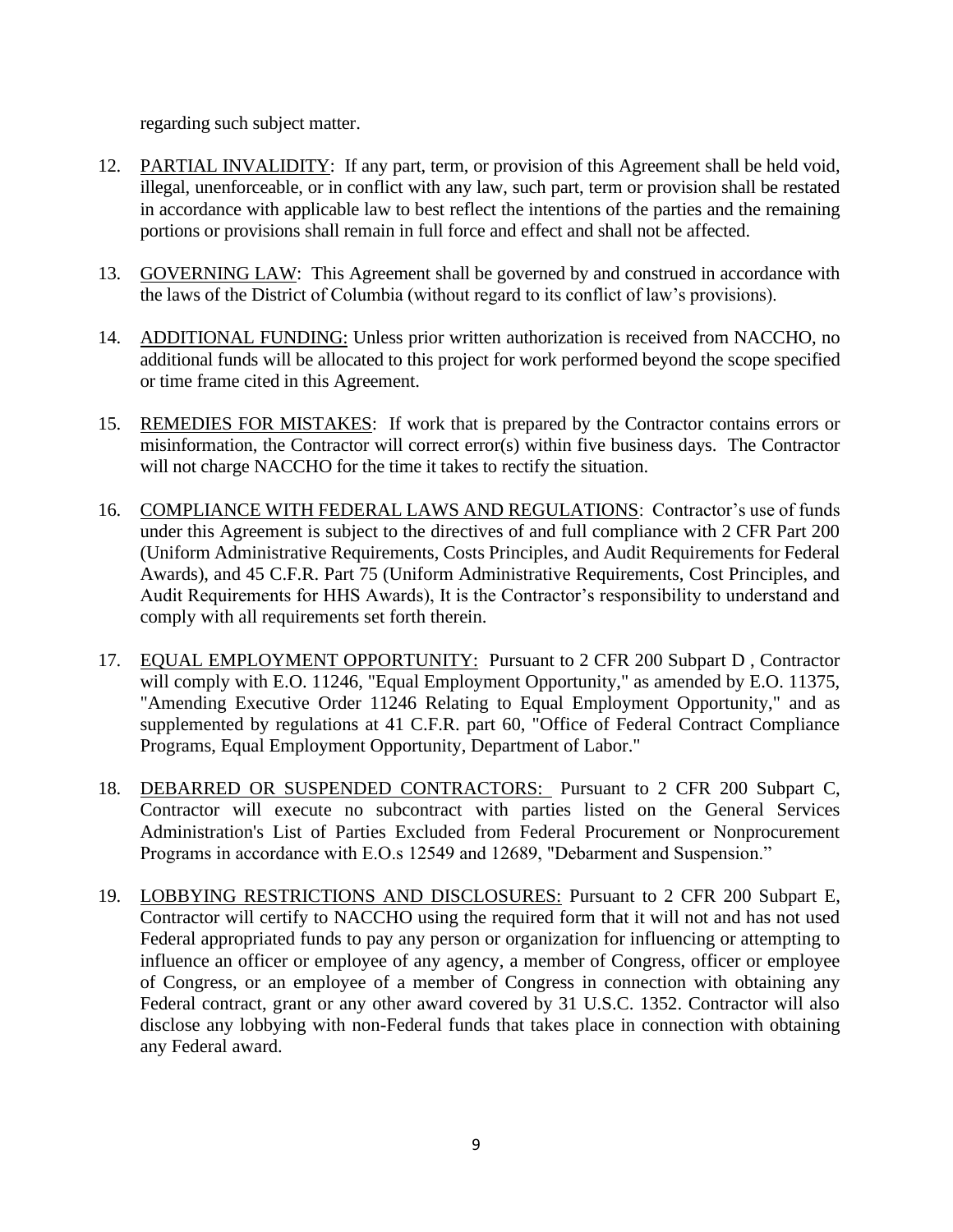regarding such subject matter.

- 12. PARTIAL INVALIDITY: If any part, term, or provision of this Agreement shall be held void, illegal, unenforceable, or in conflict with any law, such part, term or provision shall be restated in accordance with applicable law to best reflect the intentions of the parties and the remaining portions or provisions shall remain in full force and effect and shall not be affected.
- 13. GOVERNING LAW: This Agreement shall be governed by and construed in accordance with the laws of the District of Columbia (without regard to its conflict of law's provisions).
- 14. ADDITIONAL FUNDING: Unless prior written authorization is received from NACCHO, no additional funds will be allocated to this project for work performed beyond the scope specified or time frame cited in this Agreement.
- 15. REMEDIES FOR MISTAKES: If work that is prepared by the Contractor contains errors or misinformation, the Contractor will correct error(s) within five business days. The Contractor will not charge NACCHO for the time it takes to rectify the situation.
- 16. COMPLIANCE WITH FEDERAL LAWS AND REGULATIONS: Contractor's use of funds under this Agreement is subject to the directives of and full compliance with 2 CFR Part 200 (Uniform Administrative Requirements, Costs Principles, and Audit Requirements for Federal Awards), and 45 C.F.R. Part 75 (Uniform Administrative Requirements, Cost Principles, and Audit Requirements for HHS Awards), It is the Contractor's responsibility to understand and comply with all requirements set forth therein.
- 17. EQUAL EMPLOYMENT OPPORTUNITY: Pursuant to 2 CFR 200 Subpart D , Contractor will comply with E.O. 11246, "Equal Employment Opportunity," as amended by E.O. 11375, "Amending Executive Order 11246 Relating to Equal Employment Opportunity," and as supplemented by regulations at 41 C.F.R. part 60, "Office of Federal Contract Compliance Programs, Equal Employment Opportunity, Department of Labor."
- 18. DEBARRED OR SUSPENDED CONTRACTORS: Pursuant to 2 CFR 200 Subpart C, Contractor will execute no subcontract with parties listed on the General Services Administration's List of Parties Excluded from Federal Procurement or Nonprocurement Programs in accordance with E.O.s 12549 and 12689, "Debarment and Suspension."
- 19. LOBBYING RESTRICTIONS AND DISCLOSURES: Pursuant to 2 CFR 200 Subpart E, Contractor will certify to NACCHO using the required form that it will not and has not used Federal appropriated funds to pay any person or organization for influencing or attempting to influence an officer or employee of any agency, a member of Congress, officer or employee of Congress, or an employee of a member of Congress in connection with obtaining any Federal contract, grant or any other award covered by 31 U.S.C. 1352. Contractor will also disclose any lobbying with non-Federal funds that takes place in connection with obtaining any Federal award.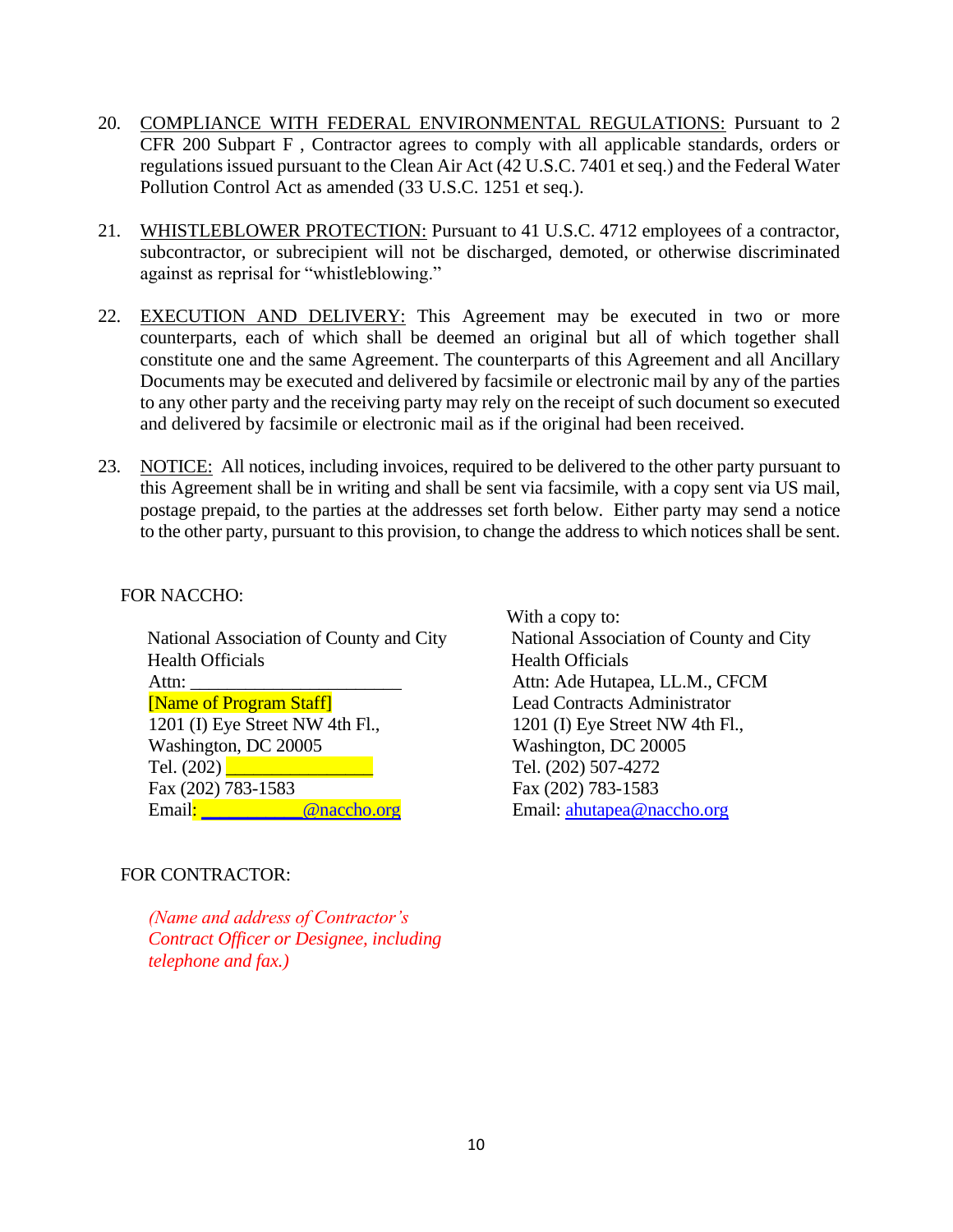- 20. COMPLIANCE WITH FEDERAL ENVIRONMENTAL REGULATIONS: Pursuant to 2 CFR 200 Subpart F , Contractor agrees to comply with all applicable standards, orders or regulations issued pursuant to the Clean Air Act (42 U.S.C. 7401 et seq.) and the Federal Water Pollution Control Act as amended (33 U.S.C. 1251 et seq.).
- 21. WHISTLEBLOWER PROTECTION: Pursuant to 41 U.S.C. 4712 employees of a contractor, subcontractor, or subrecipient will not be discharged, demoted, or otherwise discriminated against as reprisal for "whistleblowing."
- 22. EXECUTION AND DELIVERY: This Agreement may be executed in two or more counterparts, each of which shall be deemed an original but all of which together shall constitute one and the same Agreement. The counterparts of this Agreement and all Ancillary Documents may be executed and delivered by facsimile or electronic mail by any of the parties to any other party and the receiving party may rely on the receipt of such document so executed and delivered by facsimile or electronic mail as if the original had been received.
- 23. NOTICE: All notices, including invoices, required to be delivered to the other party pursuant to this Agreement shall be in writing and shall be sent via facsimile, with a copy sent via US mail, postage prepaid, to the parties at the addresses set forth below. Either party may send a notice to the other party, pursuant to this provision, to change the address to which notices shall be sent.

#### FOR NACCHO:

 National Association of County and City Health Officials Attn: [Name of Program Staff] 1201 (I) Eye Street NW 4th Fl., Washington, DC 20005 Tel.  $(202)$ Fax (202) 783-1583 Email: @naccho.org

#### FOR CONTRACTOR:

*(Name and address of Contractor's Contract Officer or Designee, including telephone and fax.)*

 With a copy to: National Association of County and City Health Officials Attn: Ade Hutapea, LL.M., CFCM Lead Contracts Administrator 1201 (I) Eye Street NW 4th Fl., Washington, DC 20005 Tel. (202) 507-4272 Fax (202) 783-1583 Email: [ahutapea@naccho.org](mailto:ahutapea@naccho.org)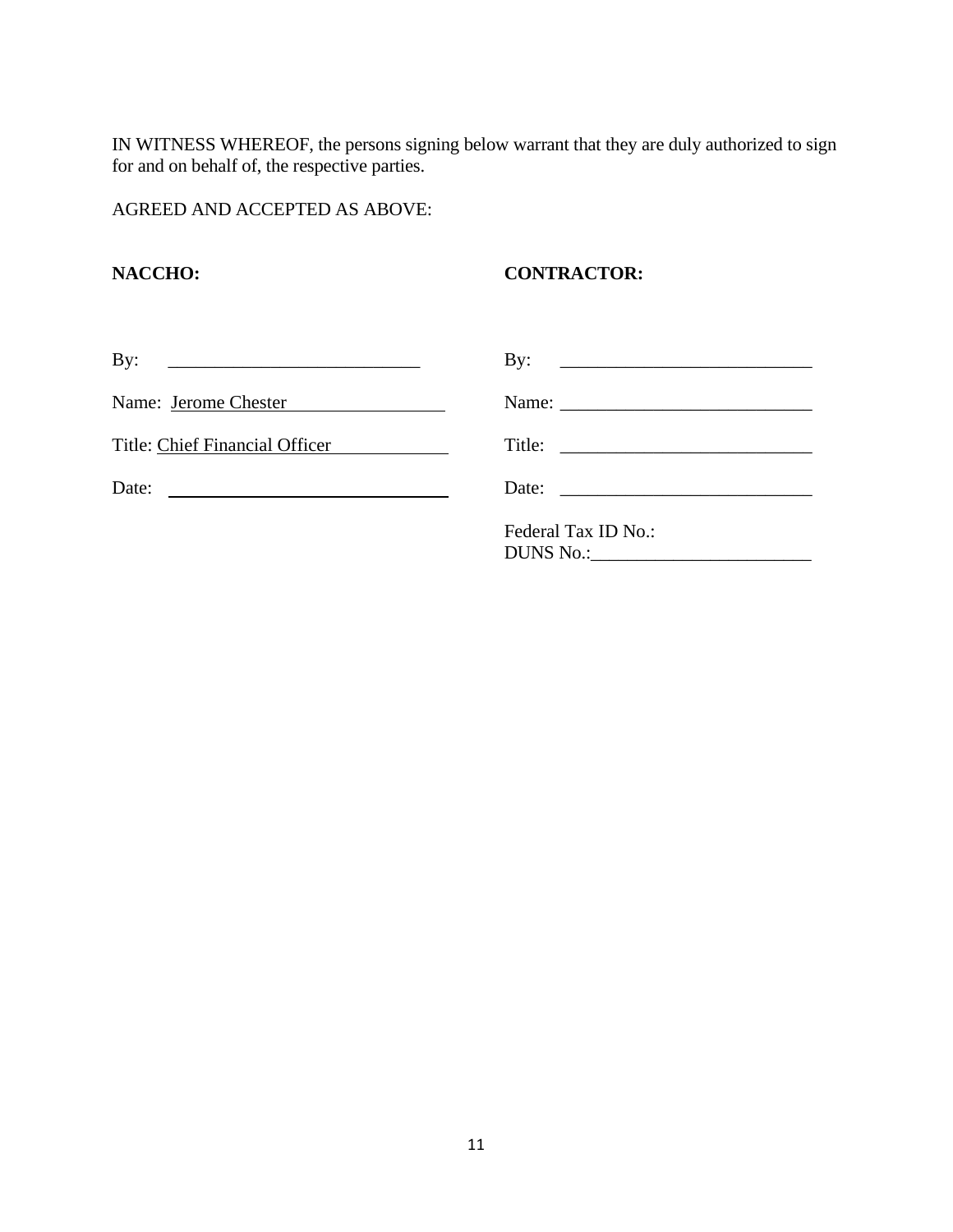IN WITNESS WHEREOF, the persons signing below warrant that they are duly authorized to sign for and on behalf of, the respective parties.

AGREED AND ACCEPTED AS ABOVE:

### **NACCHO: CONTRACTOR:**

| By:<br><u> 1989 - Andrea Brand, amerikansk politik (</u> |                                                          |
|----------------------------------------------------------|----------------------------------------------------------|
| Name: Jerome Chester                                     |                                                          |
| Title: Chief Financial Officer                           |                                                          |
| Date:                                                    | Date: $\frac{1}{\sqrt{1-\frac{1}{2}} \cdot \frac{1}{2}}$ |
|                                                          | Federal Tax ID No.:                                      |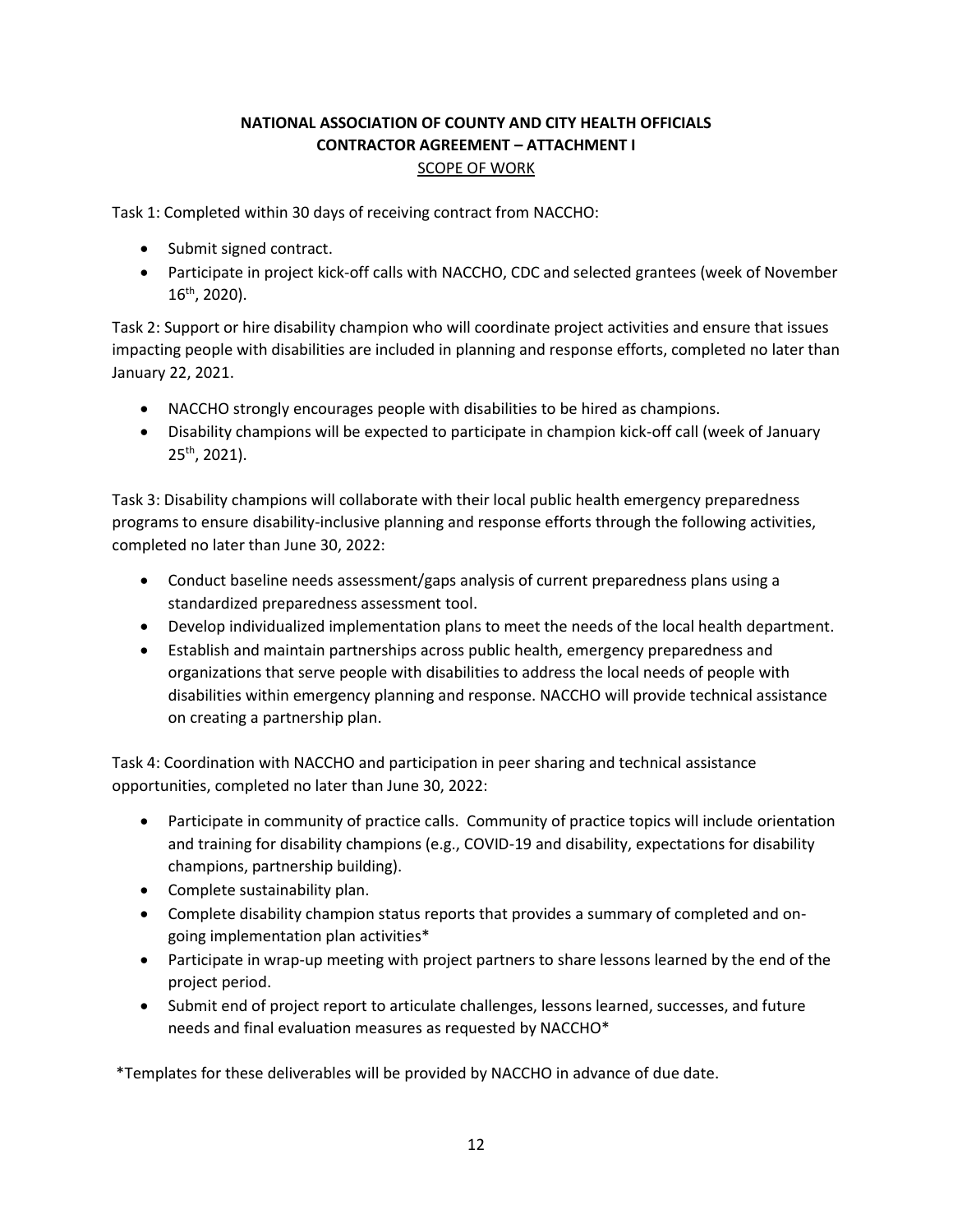#### **NATIONAL ASSOCIATION OF COUNTY AND CITY HEALTH OFFICIALS CONTRACTOR AGREEMENT – ATTACHMENT I** SCOPE OF WORK

Task 1: Completed within 30 days of receiving contract from NACCHO:

- Submit signed contract.
- Participate in project kick-off calls with NACCHO, CDC and selected grantees (week of November 16 th, 2020).

Task 2: Support or hire disability champion who will coordinate project activities and ensure that issues impacting people with disabilities are included in planning and response efforts, completed no later than January 22, 2021.

- NACCHO strongly encourages people with disabilities to be hired as champions.
- Disability champions will be expected to participate in champion kick-off call (week of January  $25<sup>th</sup>$ , 2021).

Task 3: Disability champions will collaborate with their local public health emergency preparedness programs to ensure disability-inclusive planning and response efforts through the following activities, completed no later than June 30, 2022:

- Conduct baseline needs assessment/gaps analysis of current preparedness plans using a standardized preparedness assessment tool.
- Develop individualized implementation plans to meet the needs of the local health department.
- Establish and maintain partnerships across public health, emergency preparedness and organizations that serve people with disabilities to address the local needs of people with disabilities within emergency planning and response. NACCHO will provide technical assistance on creating a partnership plan.

Task 4: Coordination with NACCHO and participation in peer sharing and technical assistance opportunities, completed no later than June 30, 2022:

- Participate in community of practice calls. Community of practice topics will include orientation and training for disability champions (e.g., COVID-19 and disability, expectations for disability champions, partnership building).
- Complete sustainability plan.
- Complete disability champion status reports that provides a summary of completed and ongoing implementation plan activities\*
- Participate in wrap-up meeting with project partners to share lessons learned by the end of the project period.
- Submit end of project report to articulate challenges, lessons learned, successes, and future needs and final evaluation measures as requested by NACCHO\*

\*Templates for these deliverables will be provided by NACCHO in advance of due date.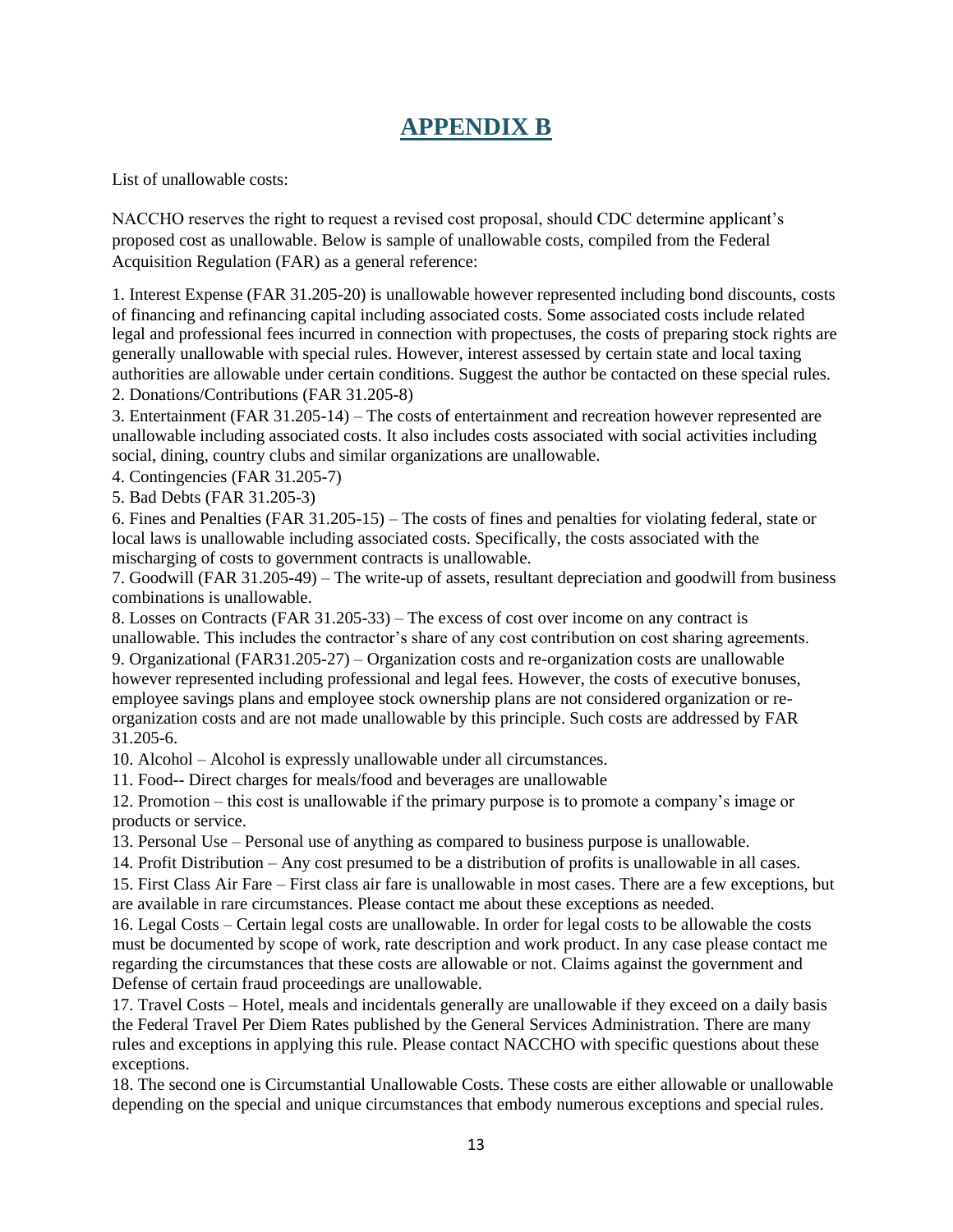## **APPENDIX B**

List of unallowable costs:

NACCHO reserves the right to request a revised cost proposal, should CDC determine applicant's proposed cost as unallowable. Below is sample of unallowable costs, compiled from the Federal Acquisition Regulation (FAR) as a general reference:

1. Interest Expense (FAR 31.205-20) is unallowable however represented including bond discounts, costs of financing and refinancing capital including associated costs. Some associated costs include related legal and professional fees incurred in connection with propectuses, the costs of preparing stock rights are generally unallowable with special rules. However, interest assessed by certain state and local taxing authorities are allowable under certain conditions. Suggest the author be contacted on these special rules. 2. Donations/Contributions (FAR 31.205-8)

3. Entertainment (FAR 31.205-14) – The costs of entertainment and recreation however represented are unallowable including associated costs. It also includes costs associated with social activities including

social, dining, country clubs and similar organizations are unallowable.

4. Contingencies (FAR 31.205-7)

5. Bad Debts (FAR 31.205-3)

6. Fines and Penalties (FAR 31.205-15) – The costs of fines and penalties for violating federal, state or local laws is unallowable including associated costs. Specifically, the costs associated with the mischarging of costs to government contracts is unallowable.

7. Goodwill (FAR 31.205-49) – The write-up of assets, resultant depreciation and goodwill from business combinations is unallowable.

8. Losses on Contracts (FAR 31.205-33) – The excess of cost over income on any contract is unallowable. This includes the contractor's share of any cost contribution on cost sharing agreements. 9. Organizational (FAR31.205-27) – Organization costs and re-organization costs are unallowable however represented including professional and legal fees. However, the costs of executive bonuses, employee savings plans and employee stock ownership plans are not considered organization or reorganization costs and are not made unallowable by this principle. Such costs are addressed by FAR 31.205-6.

10. Alcohol – Alcohol is expressly unallowable under all circumstances.

11. Food-- Direct charges for meals/food and beverages are unallowable

12. Promotion – this cost is unallowable if the primary purpose is to promote a company's image or products or service.

13. Personal Use – Personal use of anything as compared to business purpose is unallowable.

14. Profit Distribution – Any cost presumed to be a distribution of profits is unallowable in all cases.

15. First Class Air Fare – First class air fare is unallowable in most cases. There are a few exceptions, but are available in rare circumstances. Please contact me about these exceptions as needed.

16. Legal Costs – Certain legal costs are unallowable. In order for legal costs to be allowable the costs must be documented by scope of work, rate description and work product. In any case please contact me regarding the circumstances that these costs are allowable or not. Claims against the government and Defense of certain fraud proceedings are unallowable.

17. Travel Costs – Hotel, meals and incidentals generally are unallowable if they exceed on a daily basis the Federal Travel Per Diem Rates published by the General Services Administration. There are many rules and exceptions in applying this rule. Please contact NACCHO with specific questions about these exceptions.

18. The second one is Circumstantial Unallowable Costs. These costs are either allowable or unallowable depending on the special and unique circumstances that embody numerous exceptions and special rules.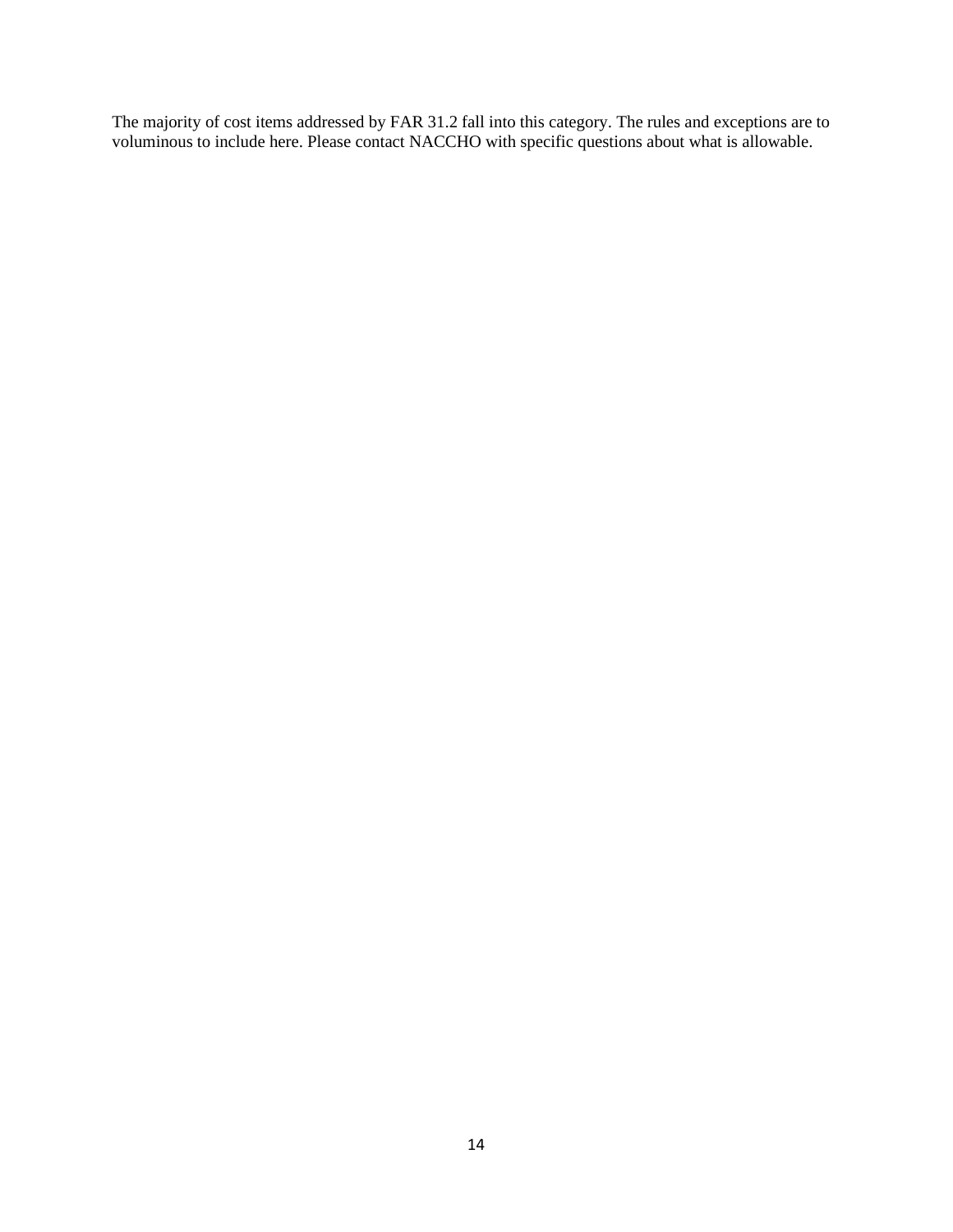The majority of cost items addressed by FAR 31.2 fall into this category. The rules and exceptions are to voluminous to include here. Please contact NACCHO with specific questions about what is allowable.